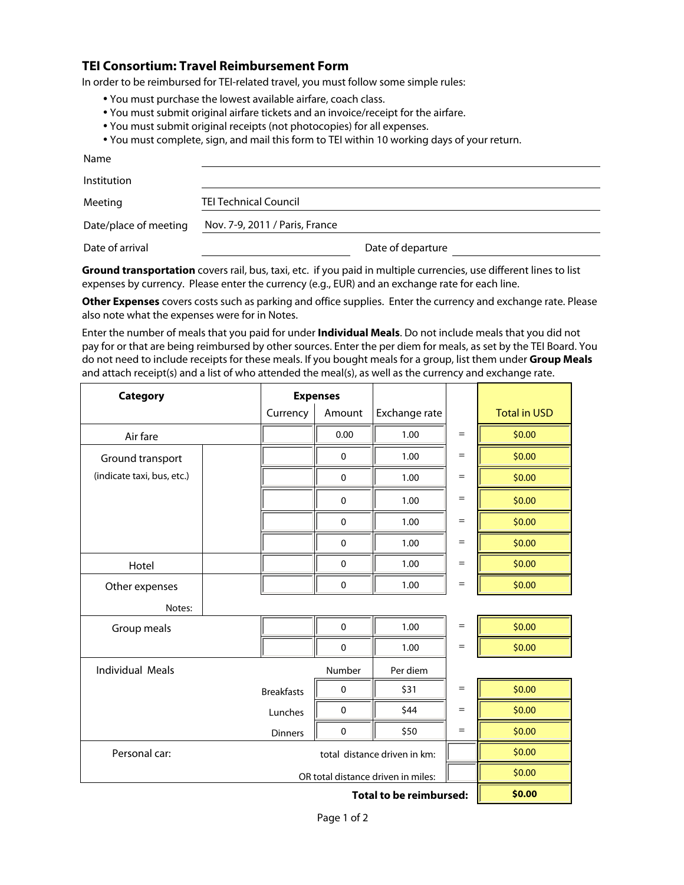## **TEI Consortium: Travel Reimbursement Form**

In order to be reimbursed for TEI-related travel, you must follow some simple rules:

- You must purchase the lowest available airfare, coach class.
- You must submit original airfare tickets and an invoice/receipt for the airfare.
- You must submit original receipts (not photocopies) for all expenses.
- You must complete, sign, and mail this form to TEI within 10 working days of your return.

| Name                  |                                |                   |  |
|-----------------------|--------------------------------|-------------------|--|
| Institution           |                                |                   |  |
| Meeting               | <b>TEI Technical Council</b>   |                   |  |
| Date/place of meeting | Nov. 7-9, 2011 / Paris, France |                   |  |
| Date of arrival       |                                | Date of departure |  |

**Ground transportation** covers rail, bus, taxi, etc. if you paid in multiple currencies, use different lines to list expenses by currency. Please enter the currency (e.g., EUR) and an exchange rate for each line.

**Other Expenses** covers costs such as parking and office supplies. Enter the currency and exchange rate. Please also note what the expenses were for in Notes.

Enter the number of meals that you paid for under **Individual Meals**. Do not include meals that you did not pay for or that are being reimbursed by other sources. Enter the per diem for meals, as set by the TEI Board. You do not need to include receipts for these meals. If you bought meals for a group, list them under **Group Meals**  and attach receipt(s) and a list of who attended the meal(s), as well as the currency and exchange rate.

| <b>Category</b><br><b>Expenses</b> |                              |             |               |                   |                     |
|------------------------------------|------------------------------|-------------|---------------|-------------------|---------------------|
|                                    | Currency                     | Amount      | Exchange rate |                   | <b>Total in USD</b> |
| Air fare                           |                              | 0.00        | 1.00          | $=$               | \$0.00              |
| Ground transport                   |                              | $\mathbf 0$ | 1.00          | $=$               | \$0.00              |
| (indicate taxi, bus, etc.)         |                              | $\pmb{0}$   | 1.00          | $=$               | \$0.00              |
|                                    |                              | $\pmb{0}$   | 1.00          | $=$               | \$0.00              |
|                                    |                              | $\pmb{0}$   | 1.00          | $=$               | \$0.00              |
|                                    |                              | $\mathbf 0$ | 1.00          | $=$               | \$0.00              |
| Hotel                              |                              | $\mathbf 0$ | 1.00          | $=$               | \$0.00              |
| Other expenses                     |                              | $\pmb{0}$   | 1.00          | $\qquad \qquad =$ | \$0.00              |
| Notes:                             |                              |             |               |                   |                     |
| Group meals                        |                              | $\pmb{0}$   | 1.00          | $\quad =$         | \$0.00              |
|                                    |                              | $\pmb{0}$   | 1.00          | $=$               | \$0.00              |
| <b>Individual Meals</b>            |                              | Number      | Per diem      |                   |                     |
|                                    | <b>Breakfasts</b>            | $\pmb{0}$   | \$31          | $=$               | \$0.00              |
|                                    | Lunches                      | $\pmb{0}$   | \$44          | $=$               | \$0.00              |
|                                    | <b>Dinners</b>               | $\pmb{0}$   | \$50          | $=$               | \$0.00              |
| Personal car:                      | total distance driven in km: |             |               | \$0.00            |                     |
| OR total distance driven in miles: |                              |             |               |                   | \$0.00              |
| <b>Total to be reimbursed:</b>     |                              |             |               |                   | \$0.00              |